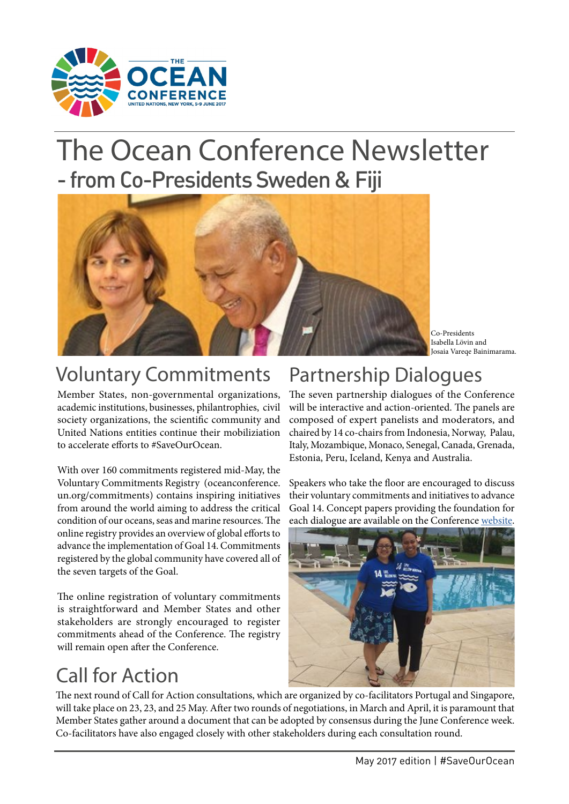

# The Ocean Conference Newsletter - from Co-Presidents Sweden & Fiji



Co-Presidents Isabella Lövin and Josaia Vareqe Bainimarama.

### Voluntary Commitments Partnership Dialogues

Member States, non-governmental organizations, academic institutions, businesses, philantrophies, civil society organizations, the scientific community and United Nations entities continue their mobiliziation to accelerate efforts to #SaveOurOcean.

With over 160 commitments registered mid-May, the [Voluntary Commitments Registry](https://oceanconference.un.org/commitments/) (oceanconference. un.org/commitments) contains inspiring initiatives from around the world aiming to address the critical condition of our oceans, seas and marine resources. The online registry provides an overview of global efforts to advance the implementation of Goal 14. Commitments registered by the global community have covered all of the seven targets of the Goal.

The online registration of voluntary commitments is straightforward and Member States and other stakeholders are strongly encouraged to register commitments ahead of the Conference. The registry will remain open after the Conference.

## Call for Action

The seven partnership dialogues of the Conference will be interactive and action-oriented. The panels are composed of expert panelists and moderators, and chaired by 14 co-chairs from Indonesia, Norway, Palau, Italy, Mozambique, Monaco, Senegal, Canada, Grenada, Estonia, Peru, Iceland, Kenya and Australia.

Speakers who take the floor are encouraged to discuss their voluntary commitments and initiatives to advance Goal 14. Concept papers providing the foundation for each dialogue are available on the Conference [website](https://oceanconference.un.org/documents).



The next round of Call for Action consultations, which are organized by co-facilitators Portugal and Singapore, will take place on 23, 23, and 25 May. After two rounds of negotiations, in March and April, it is paramount that Member States gather around a document that can be adopted by consensus during the June Conference week. Co-facilitators have also engaged closely with other stakeholders during each consultation round.